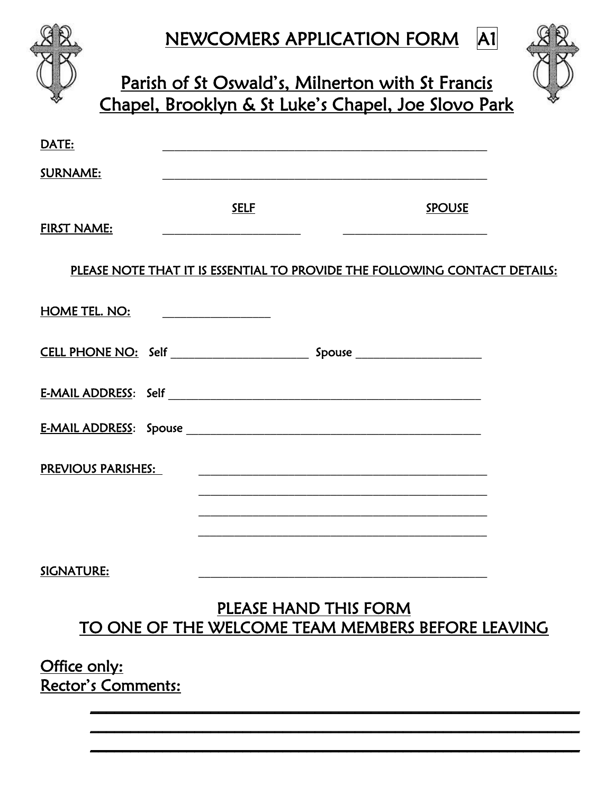|                           | NEWCOMERS APPLICATION FORM<br>Parish of St Oswald's, Milnerton with St Francis<br>Chapel, Brooklyn & St Luke's Chapel, Joe Slovo Park                                                                                                |               | A1 |
|---------------------------|--------------------------------------------------------------------------------------------------------------------------------------------------------------------------------------------------------------------------------------|---------------|----|
| DATE:                     |                                                                                                                                                                                                                                      |               |    |
| <b>SURNAME:</b>           |                                                                                                                                                                                                                                      |               |    |
| <b>FIRST NAME:</b>        | <b>SELF</b>                                                                                                                                                                                                                          | <b>SPOUSE</b> |    |
|                           | PLEASE NOTE THAT IT IS ESSENTIAL TO PROVIDE THE FOLLOWING CONTACT DETAILS:                                                                                                                                                           |               |    |
| <b>HOME TEL. NO:</b>      | <u>and the company of the company of the company of the company of the company of the company of the company of the company of the company of the company of the company of the company of the company of the company of the com</u> |               |    |
|                           |                                                                                                                                                                                                                                      |               |    |
|                           |                                                                                                                                                                                                                                      |               |    |
|                           | <u>E-MAIL ADDRESS:</u> Spouse Section 2014 12:00 Section 2014 12:00 Section 2014 12:00 Section 2014 12:00 Section 2014                                                                                                               |               |    |
| <b>PREVIOUS PARISHES:</b> |                                                                                                                                                                                                                                      |               |    |
|                           |                                                                                                                                                                                                                                      |               |    |
| SIGNATURE:                |                                                                                                                                                                                                                                      |               |    |
|                           | PLEASE HAND THIS FORM<br>TO ONE OF THE WELCOME TEAM MEMBERS BEFORE LEAVING                                                                                                                                                           |               |    |

 $\mathcal{L}_\text{max}$  and  $\mathcal{L}_\text{max}$  and  $\mathcal{L}_\text{max}$  and  $\mathcal{L}_\text{max}$  and  $\mathcal{L}_\text{max}$  and  $\mathcal{L}_\text{max}$  $\mathcal{L}_\text{max}$  and  $\mathcal{L}_\text{max}$  and  $\mathcal{L}_\text{max}$  and  $\mathcal{L}_\text{max}$  and  $\mathcal{L}_\text{max}$  and  $\mathcal{L}_\text{max}$  $\mathcal{L}_\text{max}$  and  $\mathcal{L}_\text{max}$  and  $\mathcal{L}_\text{max}$  and  $\mathcal{L}_\text{max}$  and  $\mathcal{L}_\text{max}$  and  $\mathcal{L}_\text{max}$ 

## Office only: Rector's Comments: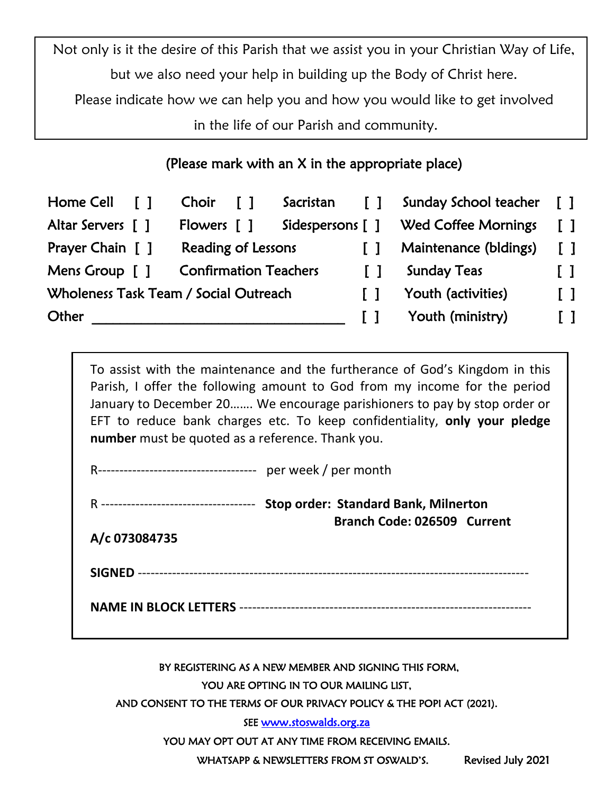Not only is it the desire of this Parish that we assist you in your Christian Way of Life, but we also need your help in building up the Body of Christ here.

Please indicate how we can help you and how you would like to get involved

in the life of our Parish and community.

## (Please mark with an X in the appropriate place)

| Home Cell [ ]                         | Choir                        | $\mathsf{L}$ | Sacristan | $\sqrt{1}$   | Sunday School teacher                | $\mathsf{L}$ |
|---------------------------------------|------------------------------|--------------|-----------|--------------|--------------------------------------|--------------|
| Altar Servers [ ]                     | Flowers [ ]                  |              |           |              | Sidespersons [ ] Wed Coffee Mornings | $\mathsf{L}$ |
| Prayer Chain [ ]                      | Reading of Lessons           |              |           |              | Maintenance (bldings)                | $\mathsf{L}$ |
| Mens Group [ ]                        | <b>Confirmation Teachers</b> |              |           | $\mathbf{1}$ | <b>Sunday Teas</b>                   | $\Box$       |
| Wholeness Task Team / Social Outreach |                              |              |           | $\mathbf{I}$ | Youth (activities)                   | $\mathsf{L}$ |
| Other                                 |                              |              |           |              | Youth (ministry)                     | I 1          |

To assist with the maintenance and the furtherance of God's Kingdom in this Parish, I offer the following amount to God from my income for the period January to December 20……. We encourage parishioners to pay by stop order or EFT to reduce bank charges etc. To keep confidentiality, **only your pledge number** must be quoted as a reference. Thank you.

|               | <b>Stop order: Standard Bank, Milnerton</b><br>Branch Code: 026509 Current |
|---------------|----------------------------------------------------------------------------|
| A/c 073084735 |                                                                            |
|               |                                                                            |
|               |                                                                            |
|               |                                                                            |

BY REGISTERING AS A NEW MEMBER AND SIGNING THIS FORM,

YOU ARE OPTING IN TO OUR MAILING LIST,

AND CONSENT TO THE TERMS OF OUR PRIVACY POLICY & THE POPI ACT (2021).

SEE www.stoswalds.org.za

YOU MAY OPT OUT AT ANY TIME FROM RECEIVING EMAILS.

WHATSAPP & NEWSLETTERS FROM ST OSWALD'S. Revised July 2021